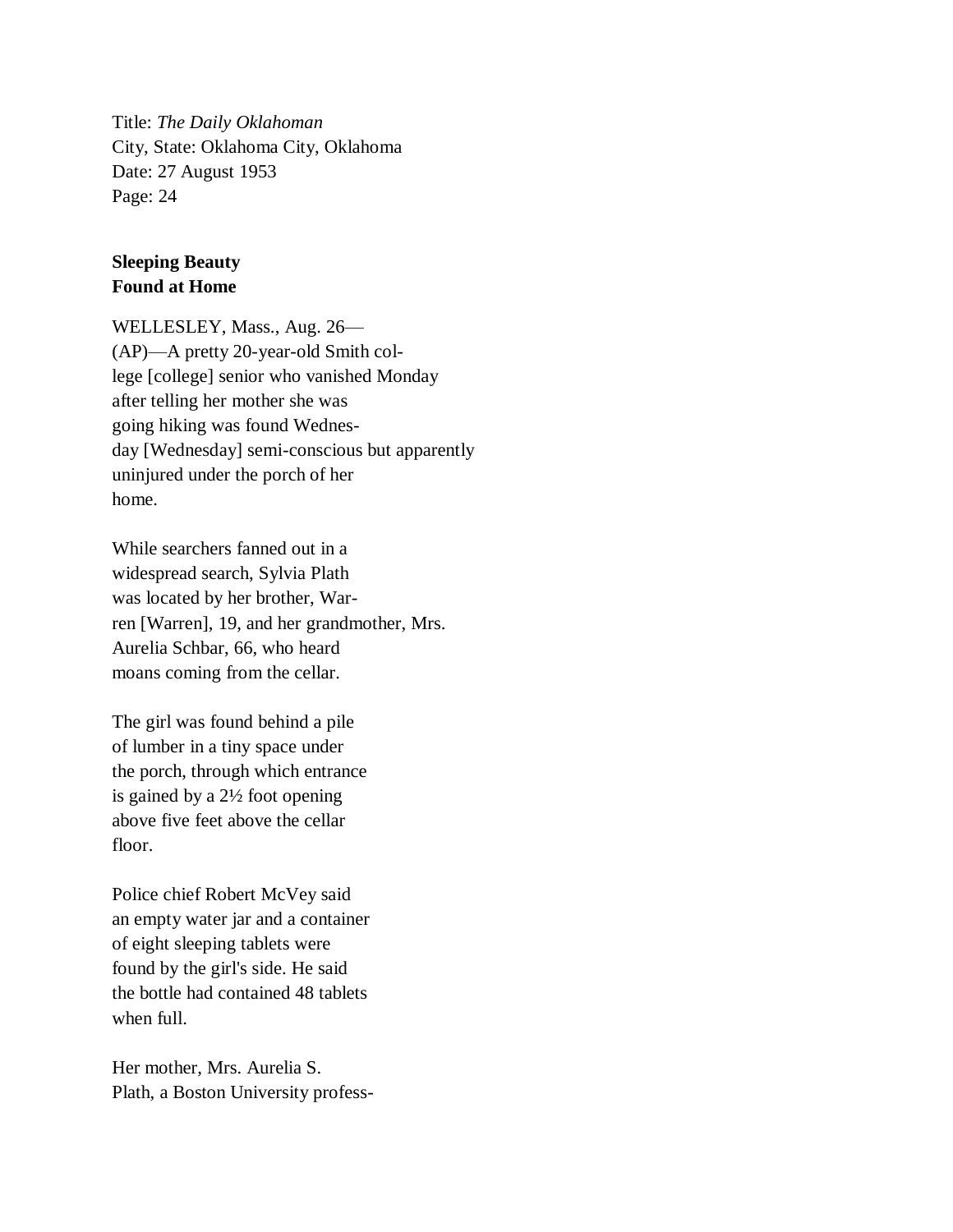Title: *The Daily Oklahoman* City, State: Oklahoma City, Oklahoma Date: 27 August 1953 Page: 24

## **Sleeping Beauty Found at Home**

WELLESLEY, Mass., Aug. 26— (AP)—A pretty 20-year-old Smith college [college] senior who vanished Monday after telling her mother she was going hiking was found Wednesday [Wednesday] semi-conscious but apparently uninjured under the porch of her home.

While searchers fanned out in a widespread search, Sylvia Plath was located by her brother, Warren [Warren], 19, and her grandmother, Mrs. Aurelia Schbar, 66, who heard moans coming from the cellar.

The girl was found behind a pile of lumber in a tiny space under the porch, through which entrance is gained by a 2½ foot opening above five feet above the cellar floor.

Police chief Robert McVey said an empty water jar and a container of eight sleeping tablets were found by the girl's side. He said the bottle had contained 48 tablets when full.

Her mother, Mrs. Aurelia S. Plath, a Boston University profess